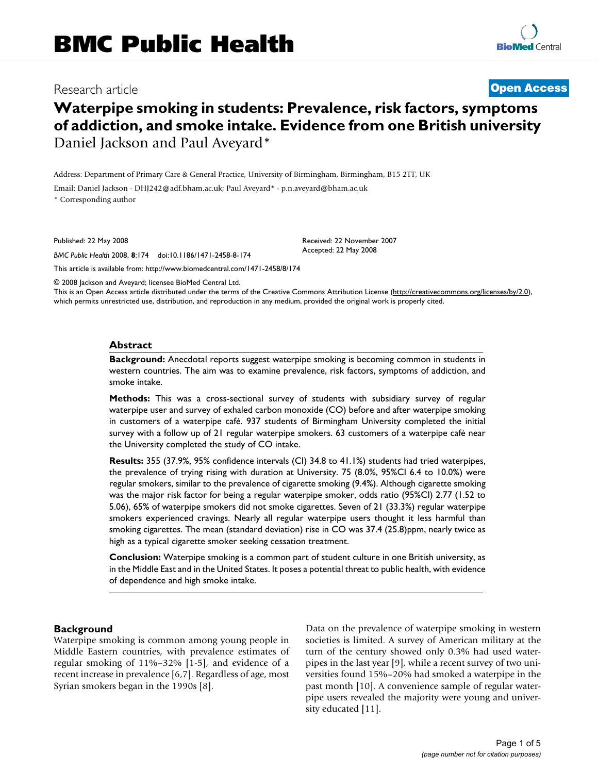# Research article **[Open Access](http://www.biomedcentral.com/info/about/charter/)**

# **Waterpipe smoking in students: Prevalence, risk factors, symptoms of addiction, and smoke intake. Evidence from one British university** Daniel Jackson and Paul Aveyard\*

Address: Department of Primary Care & General Practice, University of Birmingham, Birmingham, B15 2TT, UK

Email: Daniel Jackson - DHJ242@adf.bham.ac.uk; Paul Aveyard\* - p.n.aveyard@bham.ac.uk

\* Corresponding author

Published: 22 May 2008

*BMC Public Health* 2008, **8**:174 doi:10.1186/1471-2458-8-174

[This article is available from: http://www.biomedcentral.com/1471-2458/8/174](http://www.biomedcentral.com/1471-2458/8/174)

© 2008 Jackson and Aveyard; licensee BioMed Central Ltd.

This is an Open Access article distributed under the terms of the Creative Commons Attribution License [\(http://creativecommons.org/licenses/by/2.0\)](http://creativecommons.org/licenses/by/2.0), which permits unrestricted use, distribution, and reproduction in any medium, provided the original work is properly cited.

Received: 22 November 2007 Accepted: 22 May 2008

#### **Abstract**

**Background:** Anecdotal reports suggest waterpipe smoking is becoming common in students in western countries. The aim was to examine prevalence, risk factors, symptoms of addiction, and smoke intake.

**Methods:** This was a cross-sectional survey of students with subsidiary survey of regular waterpipe user and survey of exhaled carbon monoxide (CO) before and after waterpipe smoking in customers of a waterpipe café. 937 students of Birmingham University completed the initial survey with a follow up of 21 regular waterpipe smokers. 63 customers of a waterpipe café near the University completed the study of CO intake.

**Results:** 355 (37.9%, 95% confidence intervals (CI) 34.8 to 41.1%) students had tried waterpipes, the prevalence of trying rising with duration at University. 75 (8.0%, 95%CI 6.4 to 10.0%) were regular smokers, similar to the prevalence of cigarette smoking (9.4%). Although cigarette smoking was the major risk factor for being a regular waterpipe smoker, odds ratio (95%CI) 2.77 (1.52 to 5.06), 65% of waterpipe smokers did not smoke cigarettes. Seven of 21 (33.3%) regular waterpipe smokers experienced cravings. Nearly all regular waterpipe users thought it less harmful than smoking cigarettes. The mean (standard deviation) rise in CO was 37.4 (25.8)ppm, nearly twice as high as a typical cigarette smoker seeking cessation treatment.

**Conclusion:** Waterpipe smoking is a common part of student culture in one British university, as in the Middle East and in the United States. It poses a potential threat to public health, with evidence of dependence and high smoke intake.

#### **Background**

Waterpipe smoking is common among young people in Middle Eastern countries, with prevalence estimates of regular smoking of 11%–32% [1-5], and evidence of a recent increase in prevalence [6,7]. Regardless of age, most Syrian smokers began in the 1990s [8].

Data on the prevalence of waterpipe smoking in western societies is limited. A survey of American military at the turn of the century showed only 0.3% had used waterpipes in the last year [9], while a recent survey of two universities found 15%–20% had smoked a waterpipe in the past month [10]. A convenience sample of regular waterpipe users revealed the majority were young and university educated [11].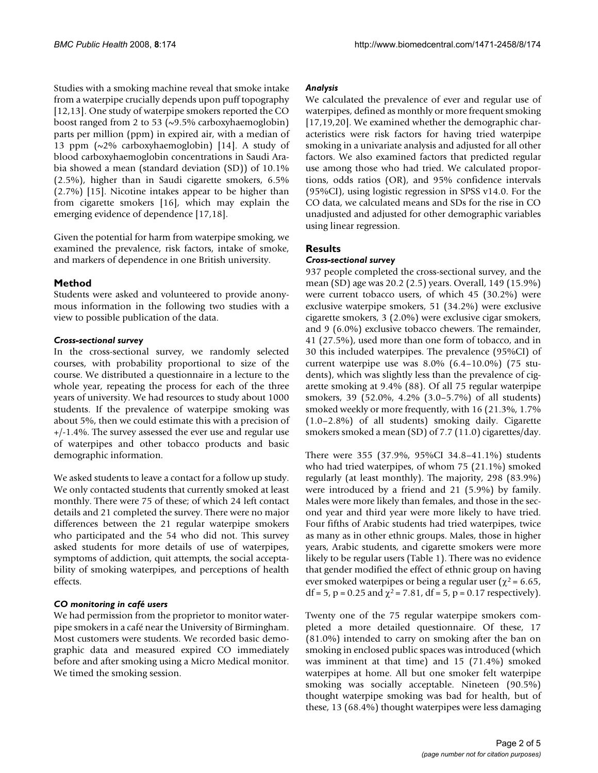Studies with a smoking machine reveal that smoke intake from a waterpipe crucially depends upon puff topography [12,13]. One study of waterpipe smokers reported the CO boost ranged from 2 to 53 (~9.5% carboxyhaemoglobin) parts per million (ppm) in expired air, with a median of 13 ppm (~2% carboxyhaemoglobin) [14]. A study of blood carboxyhaemoglobin concentrations in Saudi Arabia showed a mean (standard deviation (SD)) of 10.1% (2.5%), higher than in Saudi cigarette smokers, 6.5% (2.7%) [15]. Nicotine intakes appear to be higher than from cigarette smokers [16], which may explain the emerging evidence of dependence [17,18].

Given the potential for harm from waterpipe smoking, we examined the prevalence, risk factors, intake of smoke, and markers of dependence in one British university.

### **Method**

Students were asked and volunteered to provide anonymous information in the following two studies with a view to possible publication of the data.

### *Cross-sectional survey*

In the cross-sectional survey, we randomly selected courses, with probability proportional to size of the course. We distributed a questionnaire in a lecture to the whole year, repeating the process for each of the three years of university. We had resources to study about 1000 students. If the prevalence of waterpipe smoking was about 5%, then we could estimate this with a precision of +/-1.4%. The survey assessed the ever use and regular use of waterpipes and other tobacco products and basic demographic information.

We asked students to leave a contact for a follow up study. We only contacted students that currently smoked at least monthly. There were 75 of these; of which 24 left contact details and 21 completed the survey. There were no major differences between the 21 regular waterpipe smokers who participated and the 54 who did not. This survey asked students for more details of use of waterpipes, symptoms of addiction, quit attempts, the social acceptability of smoking waterpipes, and perceptions of health effects.

#### *CO monitoring in café users*

We had permission from the proprietor to monitor waterpipe smokers in a café near the University of Birmingham. Most customers were students. We recorded basic demographic data and measured expired CO immediately before and after smoking using a Micro Medical monitor. We timed the smoking session.

#### *Analysis*

We calculated the prevalence of ever and regular use of waterpipes, defined as monthly or more frequent smoking [17,19,20]. We examined whether the demographic characteristics were risk factors for having tried waterpipe smoking in a univariate analysis and adjusted for all other factors. We also examined factors that predicted regular use among those who had tried. We calculated proportions, odds ratios (OR), and 95% confidence intervals (95%CI), using logistic regression in SPSS v14.0. For the CO data, we calculated means and SDs for the rise in CO unadjusted and adjusted for other demographic variables using linear regression.

# **Results**

#### *Cross-sectional survey*

937 people completed the cross-sectional survey, and the mean (SD) age was 20.2 (2.5) years. Overall, 149 (15.9%) were current tobacco users, of which 45 (30.2%) were exclusive waterpipe smokers, 51 (34.2%) were exclusive cigarette smokers, 3 (2.0%) were exclusive cigar smokers, and 9 (6.0%) exclusive tobacco chewers. The remainder, 41 (27.5%), used more than one form of tobacco, and in 30 this included waterpipes. The prevalence (95%CI) of current waterpipe use was 8.0% (6.4–10.0%) (75 students), which was slightly less than the prevalence of cigarette smoking at 9.4% (88). Of all 75 regular waterpipe smokers, 39 (52.0%, 4.2% (3.0–5.7%) of all students) smoked weekly or more frequently, with 16 (21.3%, 1.7% (1.0–2.8%) of all students) smoking daily. Cigarette smokers smoked a mean (SD) of 7.7 (11.0) cigarettes/day.

There were 355 (37.9%, 95%CI 34.8–41.1%) students who had tried waterpipes, of whom 75 (21.1%) smoked regularly (at least monthly). The majority, 298 (83.9%) were introduced by a friend and 21 (5.9%) by family. Males were more likely than females, and those in the second year and third year were more likely to have tried. Four fifths of Arabic students had tried waterpipes, twice as many as in other ethnic groups. Males, those in higher years, Arabic students, and cigarette smokers were more likely to be regular users (Table 1). There was no evidence that gender modified the effect of ethnic group on having ever smoked waterpipes or being a regular user ( $\chi^2$  = 6.65,  $df = 5$ , p = 0.25 and  $\chi^2$  = 7.81, df = 5, p = 0.17 respectively).

Twenty one of the 75 regular waterpipe smokers completed a more detailed questionnaire. Of these, 17 (81.0%) intended to carry on smoking after the ban on smoking in enclosed public spaces was introduced (which was imminent at that time) and 15 (71.4%) smoked waterpipes at home. All but one smoker felt waterpipe smoking was socially acceptable. Nineteen (90.5%) thought waterpipe smoking was bad for health, but of these, 13 (68.4%) thought waterpipes were less damaging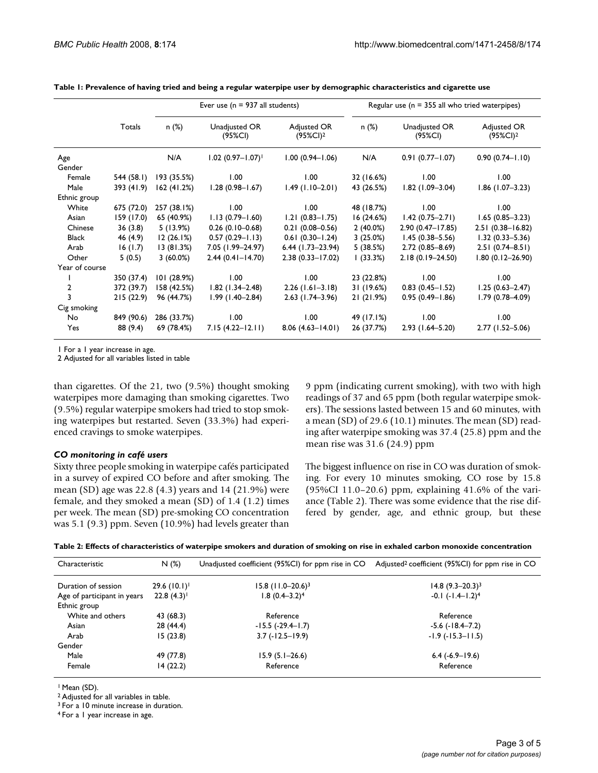|                |            | Ever use ( $n = 937$ all students) |                                 |                             | Regular use ( $n = 355$ all who tried waterpipes) |                          |                             |
|----------------|------------|------------------------------------|---------------------------------|-----------------------------|---------------------------------------------------|--------------------------|-----------------------------|
|                | Totals     | n(%)                               | Unadjusted OR<br>(95%CI)        | Adjusted OR<br>$(95\%CI)^2$ | n (%)                                             | Unadjusted OR<br>(95%CI) | Adjusted OR<br>$(95\%CI)^2$ |
| Age<br>Gender  |            | N/A                                | $1.02$ (0.97-1.07) <sup>1</sup> | $1.00(0.94 - 1.06)$         | N/A                                               | $0.91(0.77 - 1.07)$      | $0.90(0.74 - 1.10)$         |
| Female         | 544 (58.1) | 193 (35.5%)                        | 1.00                            | 1.00                        | 32 (16.6%)                                        | 1.00                     | 1.00                        |
| Male           | 393 (41.9) | 162(41.2%)                         | $1.28(0.98 - 1.67)$             | $1.49(1.10-2.01)$           | 43 (26.5%)                                        | $1.82$ (1.09-3.04)       | $1.86$ (1.07-3.23)          |
| Ethnic group   |            |                                    |                                 |                             |                                                   |                          |                             |
| White          | 675 (72.0) | 257 (38.1%)                        | 1.00                            | 1.00                        | 48 (18.7%)                                        | 1.00                     | 1.00                        |
| Asian          | 159 (17.0) | 65 (40.9%)                         | $1.13(0.79 - 1.60)$             | $1.21(0.83 - 1.75)$         | 16(24.6%)                                         | $1.42(0.75 - 2.71)$      | $1.65(0.85 - 3.23)$         |
| Chinese        | 36(3.8)    | 5(13.9%)                           | $0.26(0.10-0.68)$               | $0.21(0.08 - 0.56)$         | $2(40.0\%)$                                       | $2.90(0.47 - 17.85)$     | $2.51(0.38 - 16.82)$        |
| <b>Black</b>   | 46 (4.9)   | 12(26.1%)                          | $0.57(0.29 - 1.13)$             | $0.61(0.30 - 1.24)$         | 3(25.0%)                                          | $1.45(0.38 - 5.56)$      | $1.32(0.33 - 5.36)$         |
| Arab           | 16(1.7)    | 13(81.3%)                          | 7.05 (1.99-24.97)               | $6.44$ (1.73-23.94)         | 5(38.5%)                                          | $2.72(0.85 - 8.69)$      | $2.51(0.74 - 8.51)$         |
| Other          | 5(0.5)     | $3(60.0\%)$                        | $2.44(0.41 - 14.70)$            | $2.38(0.33 - 17.02)$        | (33.3%)                                           | $2.18(0.19 - 24.50)$     | $1.80(0.12 - 26.90)$        |
| Year of course |            |                                    |                                 |                             |                                                   |                          |                             |
|                | 350 (37.4) | 101 (28.9%)                        | 1.00                            | 1.00                        | 23 (22.8%)                                        | 1.00                     | 1.00                        |
| $\overline{2}$ | 372 (39.7) | 158 (42.5%)                        | $1.82$ (1.34–2.48)              | $2.26$ (1.61-3.18)          | 31 (19.6%)                                        | $0.83(0.45 - 1.52)$      | $1.25(0.63 - 2.47)$         |
| 3              | 215(22.9)  | 96 (44.7%)                         | $1.99(1.40 - 2.84)$             | $2.63$ (1.74-3.96)          | 21(21.9%)                                         | $0.95(0.49 - 1.86)$      | $1.79(0.78 - 4.09)$         |
| Cig smoking    |            |                                    |                                 |                             |                                                   |                          |                             |
| No             | 849 (90.6) | 286 (33.7%)                        | 1.00                            | 1.00                        | 49 (17.1%)                                        | 1.00                     | 1.00                        |
| Yes            | 88 (9.4)   | 69 (78.4%)                         | $7.15(4.22 - 12.11)$            | $8.06(4.63 - 14.01)$        | 26 (37.7%)                                        | $2.93(1.64 - 5.20)$      | $2.77(1.52 - 5.06)$         |

**Table 1: Prevalence of having tried and being a regular waterpipe user by demographic characteristics and cigarette use**

1 For a 1 year increase in age.

2 Adjusted for all variables listed in table

than cigarettes. Of the 21, two (9.5%) thought smoking waterpipes more damaging than smoking cigarettes. Two (9.5%) regular waterpipe smokers had tried to stop smoking waterpipes but restarted. Seven (33.3%) had experienced cravings to smoke waterpipes.

#### *CO monitoring in café users*

Sixty three people smoking in waterpipe cafés participated in a survey of expired CO before and after smoking. The mean (SD) age was 22.8 (4.3) years and 14 (21.9%) were female, and they smoked a mean (SD) of 1.4 (1.2) times per week. The mean (SD) pre-smoking CO concentration was 5.1 (9.3) ppm. Seven (10.9%) had levels greater than

9 ppm (indicating current smoking), with two with high readings of 37 and 65 ppm (both regular waterpipe smokers). The sessions lasted between 15 and 60 minutes, with a mean (SD) of 29.6 (10.1) minutes. The mean (SD) reading after waterpipe smoking was 37.4 (25.8) ppm and the mean rise was 31.6 (24.9) ppm

The biggest influence on rise in CO was duration of smoking. For every 10 minutes smoking, CO rose by 15.8 (95%CI 11.0–20.6) ppm, explaining 41.6% of the variance (Table 2). There was some evidence that the rise differed by gender, age, and ethnic group, but these

**Table 2: Effects of characteristics of waterpipe smokers and duration of smoking on rise in exhaled carbon monoxide concentration**

| Characteristic              | N(%)        | Unadjusted coefficient (95%CI) for ppm rise in CO | Adjusted <sup>2</sup> coefficient (95%CI) for ppm rise in CO |
|-----------------------------|-------------|---------------------------------------------------|--------------------------------------------------------------|
| Duration of session         | 29.6 (10.1) | $15.8$ (11.0-20.6) <sup>3</sup>                   | $14.8 (9.3 - 20.3)^3$                                        |
| Age of participant in years | 22.8(4.3)   | $1.8(0.4 - 3.2)^4$                                | $-0.1$ $(-1.4-1.2)^4$                                        |
| Ethnic group                |             |                                                   |                                                              |
| White and others            | 43 (68.3)   | Reference                                         | Reference                                                    |
| Asian                       | 28 (44.4)   | $-15.5$ ( $-29.4-1.7$ )                           | $-5.6$ ( $-18.4-7.2$ )                                       |
| Arab                        | 15(23.8)    | $3.7(-12.5-19.9)$                                 | $-1.9$ ( $-15.3-11.5$ )                                      |
| Gender                      |             |                                                   |                                                              |
| Male                        | 49 (77.8)   | $15.9(5.1-26.6)$                                  | $6.4(-6.9-19.6)$                                             |
| Female                      | 14(22.2)    | Reference                                         | Reference                                                    |

1 Mean (SD).

2 Adjusted for all variables in table.

3 For a 10 minute increase in duration.

4 For a 1 year increase in age.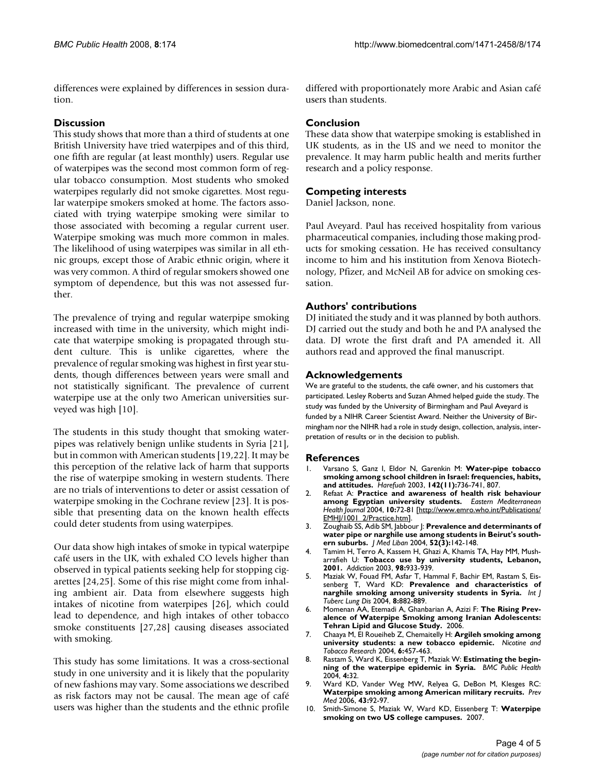differences were explained by differences in session duration.

# **Discussion**

This study shows that more than a third of students at one British University have tried waterpipes and of this third, one fifth are regular (at least monthly) users. Regular use of waterpipes was the second most common form of regular tobacco consumption. Most students who smoked waterpipes regularly did not smoke cigarettes. Most regular waterpipe smokers smoked at home. The factors associated with trying waterpipe smoking were similar to those associated with becoming a regular current user. Waterpipe smoking was much more common in males. The likelihood of using waterpipes was similar in all ethnic groups, except those of Arabic ethnic origin, where it was very common. A third of regular smokers showed one symptom of dependence, but this was not assessed further.

The prevalence of trying and regular waterpipe smoking increased with time in the university, which might indicate that waterpipe smoking is propagated through student culture. This is unlike cigarettes, where the prevalence of regular smoking was highest in first year students, though differences between years were small and not statistically significant. The prevalence of current waterpipe use at the only two American universities surveyed was high [10].

The students in this study thought that smoking waterpipes was relatively benign unlike students in Syria [21], but in common with American students [19,22]. It may be this perception of the relative lack of harm that supports the rise of waterpipe smoking in western students. There are no trials of interventions to deter or assist cessation of waterpipe smoking in the Cochrane review [23]. It is possible that presenting data on the known health effects could deter students from using waterpipes.

Our data show high intakes of smoke in typical waterpipe café users in the UK, with exhaled CO levels higher than observed in typical patients seeking help for stopping cigarettes [24,25]. Some of this rise might come from inhaling ambient air. Data from elsewhere suggests high intakes of nicotine from waterpipes [26], which could lead to dependence, and high intakes of other tobacco smoke constituents [27,28] causing diseases associated with smoking.

This study has some limitations. It was a cross-sectional study in one university and it is likely that the popularity of new fashions may vary. Some associations we described as risk factors may not be causal. The mean age of café users was higher than the students and the ethnic profile differed with proportionately more Arabic and Asian café users than students.

# **Conclusion**

These data show that waterpipe smoking is established in UK students, as in the US and we need to monitor the prevalence. It may harm public health and merits further research and a policy response.

#### **Competing interests**

Daniel Jackson, none.

Paul Aveyard. Paul has received hospitality from various pharmaceutical companies, including those making products for smoking cessation. He has received consultancy income to him and his institution from Xenova Biotechnology, Pfizer, and McNeil AB for advice on smoking cessation.

#### **Authors' contributions**

DJ initiated the study and it was planned by both authors. DJ carried out the study and both he and PA analysed the data. DJ wrote the first draft and PA amended it. All authors read and approved the final manuscript.

#### **Acknowledgements**

We are grateful to the students, the café owner, and his customers that participated. Lesley Roberts and Suzan Ahmed helped guide the study. The study was funded by the University of Birmingham and Paul Aveyard is funded by a NIHR Career Scientist Award. Neither the University of Birmingham nor the NIHR had a role in study design, collection, analysis, interpretation of results or in the decision to publish.

#### **References**

- 1. Varsano S, Ganz I, Eldor N, Garenkin M: **[Water-pipe tobacco](http://www.ncbi.nlm.nih.gov/entrez/query.fcgi?cmd=Retrieve&db=PubMed&dopt=Abstract&list_uids=14631902) [smoking among school children in Israel: frequencies, habits,](http://www.ncbi.nlm.nih.gov/entrez/query.fcgi?cmd=Retrieve&db=PubMed&dopt=Abstract&list_uids=14631902) [and attitudes.](http://www.ncbi.nlm.nih.gov/entrez/query.fcgi?cmd=Retrieve&db=PubMed&dopt=Abstract&list_uids=14631902)** *Harefuah* 2003, **142(11):**736-741, 807.
- 2. Refaat A: **[Practice and awareness of health risk behaviour](http://www.ncbi.nlm.nih.gov/entrez/query.fcgi?cmd=Retrieve&db=PubMed&dopt=Abstract&list_uids=16201711) [among Egyptian university students.](http://www.ncbi.nlm.nih.gov/entrez/query.fcgi?cmd=Retrieve&db=PubMed&dopt=Abstract&list_uids=16201711)** *Eastern Mediterranean Health Journal* 2004, **10:**72-81 [[http://www.emro.who.int/Publications/](http://www.emro.who.int/Publications/EMHJ/1001_2/Practice.htm) EMHI/1001\_2/Practice.htm].
- 3. Zoughaib SS, Adib SM, Jabbour J: **[Prevalence and determinants of](http://www.ncbi.nlm.nih.gov/entrez/query.fcgi?cmd=Retrieve&db=PubMed&dopt=Abstract&list_uids=16432971) [water pipe or narghile use among students in Beirut's south](http://www.ncbi.nlm.nih.gov/entrez/query.fcgi?cmd=Retrieve&db=PubMed&dopt=Abstract&list_uids=16432971)[ern suburbs.](http://www.ncbi.nlm.nih.gov/entrez/query.fcgi?cmd=Retrieve&db=PubMed&dopt=Abstract&list_uids=16432971)** *J Med Liban* 2004, **52(3):**142-148.
- 4. Tamim H, Terro A, Kassem H, Ghazi A, Khamis TA, Hay MM, Musharrafieh U: **[Tobacco use by university students, Lebanon,](http://www.ncbi.nlm.nih.gov/entrez/query.fcgi?cmd=Retrieve&db=PubMed&dopt=Abstract&list_uids=12814499) [2001.](http://www.ncbi.nlm.nih.gov/entrez/query.fcgi?cmd=Retrieve&db=PubMed&dopt=Abstract&list_uids=12814499)** *Addiction* 2003, **98:**933-939.
- 5. Maziak W, Fouad FM, Asfar T, Hammal F, Bachir EM, Rastam S, Eissenberg T, Ward KD: **[Prevalence and characteristics of](http://www.ncbi.nlm.nih.gov/entrez/query.fcgi?cmd=Retrieve&db=PubMed&dopt=Abstract&list_uids=15260281) [narghile smoking among university students in Syria.](http://www.ncbi.nlm.nih.gov/entrez/query.fcgi?cmd=Retrieve&db=PubMed&dopt=Abstract&list_uids=15260281)** *Int J Tuberc Lung Dis* 2004, **8:**882-889.
- 6. Momenan AA, Etemadi A, Ghanbarian A, Azizi F: **The Rising Prevalence of Waterpipe Smoking among Iranian Adolescents: Tehran Lipid and Glucose Study.** 2006.
- 7. Chaaya M, El Roueiheb Z, Chemaitelly H: **Argileh smoking among university students: a new tobacco epidemic.** *Nicotine and Tobacco Research* 2004, **6:**457-463.
- 8. Rastam S, Ward K, Eissenberg T, Maziak W: **[Estimating the begin](http://www.ncbi.nlm.nih.gov/entrez/query.fcgi?cmd=Retrieve&db=PubMed&dopt=Abstract&list_uids=15294023)[ning of the waterpipe epidemic in Syria.](http://www.ncbi.nlm.nih.gov/entrez/query.fcgi?cmd=Retrieve&db=PubMed&dopt=Abstract&list_uids=15294023)** *BMC Public Health* 2004, **4:**32.
- 9. Ward KD, Vander Weg MW, Relyea G, DeBon M, Klesges RC: **[Waterpipe smoking among American military recruits.](http://www.ncbi.nlm.nih.gov/entrez/query.fcgi?cmd=Retrieve&db=PubMed&dopt=Abstract&list_uids=16675003)** *Prev Med* 2006, **43:**92-97.
- 10. Smith-Simone S, Maziak W, Ward KD, Eissenberg T: **[Waterpipe](http://www.ncbi.nlm.nih.gov/entrez/query.fcgi?cmd=Retrieve&db=PubMed&dopt=Abstract&list_uids=18407049) [smoking on two US college campuses.](http://www.ncbi.nlm.nih.gov/entrez/query.fcgi?cmd=Retrieve&db=PubMed&dopt=Abstract&list_uids=18407049)** 2007.